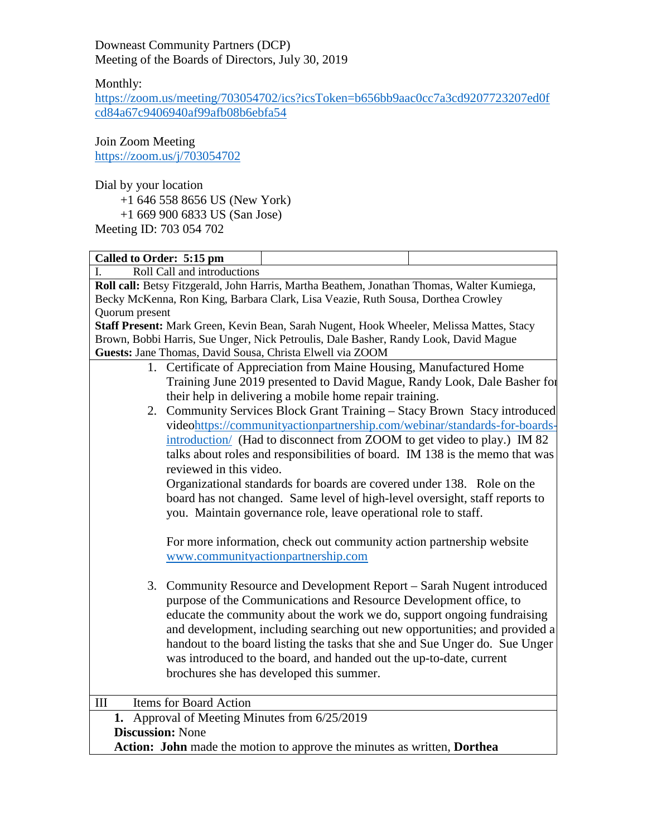Downeast Community Partners (DCP) Meeting of the Boards of Directors, July 30, 2019

Monthly:

[https://zoom.us/meeting/703054702/ics?icsToken=b656bb9aac0cc7a3cd9207723207ed0f](https://zoom.us/meeting/703054702/ics?icsToken=b656bb9aac0cc7a3cd9207723207ed0fcd84a67c9406940af99afb08b6ebfa54) [cd84a67c9406940af99afb08b6ebfa54](https://zoom.us/meeting/703054702/ics?icsToken=b656bb9aac0cc7a3cd9207723207ed0fcd84a67c9406940af99afb08b6ebfa54)

Join Zoom Meeting <https://zoom.us/j/703054702>

Dial by your location

- +1 646 558 8656 US (New York)
- +1 669 900 6833 US (San Jose)

Meeting ID: 703 054 702

| Called to Order: 5:15 pm                                                                   |  |  |  |  |
|--------------------------------------------------------------------------------------------|--|--|--|--|
| Roll Call and introductions                                                                |  |  |  |  |
| Roll call: Betsy Fitzgerald, John Harris, Martha Beathem, Jonathan Thomas, Walter Kumiega, |  |  |  |  |
| Becky McKenna, Ron King, Barbara Clark, Lisa Veazie, Ruth Sousa, Dorthea Crowley           |  |  |  |  |
| Quorum present                                                                             |  |  |  |  |
| Staff Present: Mark Green, Kevin Bean, Sarah Nugent, Hook Wheeler, Melissa Mattes, Stacy   |  |  |  |  |
| Brown, Bobbi Harris, Sue Unger, Nick Petroulis, Dale Basher, Randy Look, David Mague       |  |  |  |  |
| Guests: Jane Thomas, David Sousa, Christa Elwell via ZOOM                                  |  |  |  |  |
| 1. Certificate of Appreciation from Maine Housing, Manufactured Home                       |  |  |  |  |
| Training June 2019 presented to David Mague, Randy Look, Dale Basher for                   |  |  |  |  |
| their help in delivering a mobile home repair training.                                    |  |  |  |  |
| 2. Community Services Block Grant Training – Stacy Brown Stacy introduced                  |  |  |  |  |
| videohttps://communityactionpartnership.com/webinar/standards-for-boards-                  |  |  |  |  |
| introduction/ (Had to disconnect from ZOOM to get video to play.) IM 82                    |  |  |  |  |
| talks about roles and responsibilities of board. IM 138 is the memo that was               |  |  |  |  |
| reviewed in this video.                                                                    |  |  |  |  |
| Organizational standards for boards are covered under 138. Role on the                     |  |  |  |  |
| board has not changed. Same level of high-level oversight, staff reports to                |  |  |  |  |
| you. Maintain governance role, leave operational role to staff.                            |  |  |  |  |
|                                                                                            |  |  |  |  |
| For more information, check out community action partnership website                       |  |  |  |  |
| www.communityactionpartnership.com                                                         |  |  |  |  |
|                                                                                            |  |  |  |  |
| 3. Community Resource and Development Report – Sarah Nugent introduced                     |  |  |  |  |
| purpose of the Communications and Resource Development office, to                          |  |  |  |  |
| educate the community about the work we do, support ongoing fundraising                    |  |  |  |  |
|                                                                                            |  |  |  |  |
| and development, including searching out new opportunities; and provided a                 |  |  |  |  |
| handout to the board listing the tasks that she and Sue Unger do. Sue Unger                |  |  |  |  |
| was introduced to the board, and handed out the up-to-date, current                        |  |  |  |  |
| brochures she has developed this summer.                                                   |  |  |  |  |
|                                                                                            |  |  |  |  |
| <b>Items for Board Action</b><br>III                                                       |  |  |  |  |
| 1. Approval of Meeting Minutes from 6/25/2019                                              |  |  |  |  |
| <b>Discussion: None</b>                                                                    |  |  |  |  |
| Action: John made the motion to approve the minutes as written, Dorthea                    |  |  |  |  |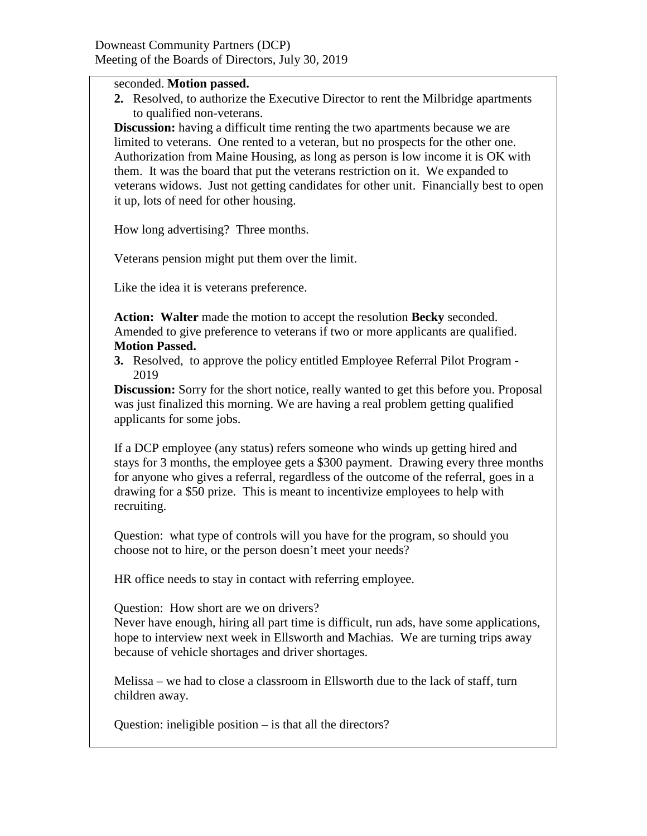## seconded. **Motion passed.**

**2.** Resolved, to authorize the Executive Director to rent the Milbridge apartments to qualified non-veterans.

**Discussion:** having a difficult time renting the two apartments because we are limited to veterans. One rented to a veteran, but no prospects for the other one. Authorization from Maine Housing, as long as person is low income it is OK with them. It was the board that put the veterans restriction on it. We expanded to veterans widows. Just not getting candidates for other unit. Financially best to open it up, lots of need for other housing.

How long advertising? Three months.

Veterans pension might put them over the limit.

Like the idea it is veterans preference.

**Action: Walter** made the motion to accept the resolution **Becky** seconded. Amended to give preference to veterans if two or more applicants are qualified. **Motion Passed.**

**3.** Resolved, to approve the policy entitled Employee Referral Pilot Program - 2019

**Discussion:** Sorry for the short notice, really wanted to get this before you. Proposal was just finalized this morning. We are having a real problem getting qualified applicants for some jobs.

If a DCP employee (any status) refers someone who winds up getting hired and stays for 3 months, the employee gets a \$300 payment. Drawing every three months for anyone who gives a referral, regardless of the outcome of the referral, goes in a drawing for a \$50 prize. This is meant to incentivize employees to help with recruiting.

Question: what type of controls will you have for the program, so should you choose not to hire, or the person doesn't meet your needs?

HR office needs to stay in contact with referring employee.

Question: How short are we on drivers?

Never have enough, hiring all part time is difficult, run ads, have some applications, hope to interview next week in Ellsworth and Machias. We are turning trips away because of vehicle shortages and driver shortages.

Melissa – we had to close a classroom in Ellsworth due to the lack of staff, turn children away.

Question: ineligible position – is that all the directors?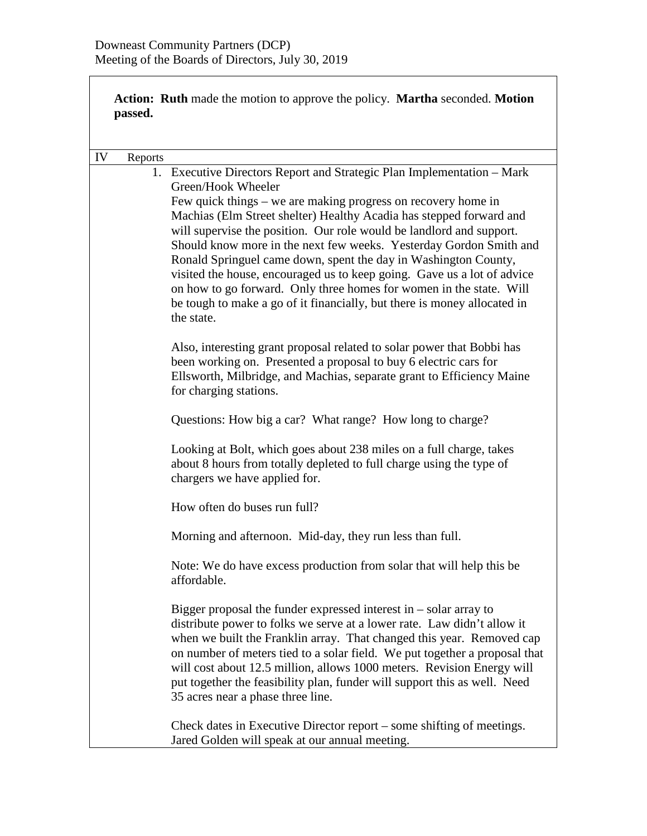**Action: Ruth** made the motion to approve the policy. **Martha** seconded. **Motion passed.**

| IV | Reports |                                                                                                                                                                                                                                                                                                                                                                                                                                                                                                                                                                                                                                                                                                   |
|----|---------|---------------------------------------------------------------------------------------------------------------------------------------------------------------------------------------------------------------------------------------------------------------------------------------------------------------------------------------------------------------------------------------------------------------------------------------------------------------------------------------------------------------------------------------------------------------------------------------------------------------------------------------------------------------------------------------------------|
|    |         | 1. Executive Directors Report and Strategic Plan Implementation - Mark<br>Green/Hook Wheeler<br>Few quick things – we are making progress on recovery home in<br>Machias (Elm Street shelter) Healthy Acadia has stepped forward and<br>will supervise the position. Our role would be landlord and support.<br>Should know more in the next few weeks. Yesterday Gordon Smith and<br>Ronald Springuel came down, spent the day in Washington County,<br>visited the house, encouraged us to keep going. Gave us a lot of advice<br>on how to go forward. Only three homes for women in the state. Will<br>be tough to make a go of it financially, but there is money allocated in<br>the state. |
|    |         | Also, interesting grant proposal related to solar power that Bobbi has<br>been working on. Presented a proposal to buy 6 electric cars for<br>Ellsworth, Milbridge, and Machias, separate grant to Efficiency Maine<br>for charging stations.                                                                                                                                                                                                                                                                                                                                                                                                                                                     |
|    |         | Questions: How big a car? What range? How long to charge?                                                                                                                                                                                                                                                                                                                                                                                                                                                                                                                                                                                                                                         |
|    |         | Looking at Bolt, which goes about 238 miles on a full charge, takes<br>about 8 hours from totally depleted to full charge using the type of<br>chargers we have applied for.                                                                                                                                                                                                                                                                                                                                                                                                                                                                                                                      |
|    |         | How often do buses run full?                                                                                                                                                                                                                                                                                                                                                                                                                                                                                                                                                                                                                                                                      |
|    |         | Morning and afternoon. Mid-day, they run less than full.                                                                                                                                                                                                                                                                                                                                                                                                                                                                                                                                                                                                                                          |
|    |         | Note: We do have excess production from solar that will help this be<br>affordable.                                                                                                                                                                                                                                                                                                                                                                                                                                                                                                                                                                                                               |
|    |         | Bigger proposal the funder expressed interest in $-$ solar array to<br>distribute power to folks we serve at a lower rate. Law didn't allow it<br>when we built the Franklin array. That changed this year. Removed cap<br>on number of meters tied to a solar field. We put together a proposal that<br>will cost about 12.5 million, allows 1000 meters. Revision Energy will<br>put together the feasibility plan, funder will support this as well. Need<br>35 acres near a phase three line.                                                                                                                                                                                                 |
|    |         | Check dates in Executive Director report – some shifting of meetings.<br>Jared Golden will speak at our annual meeting.                                                                                                                                                                                                                                                                                                                                                                                                                                                                                                                                                                           |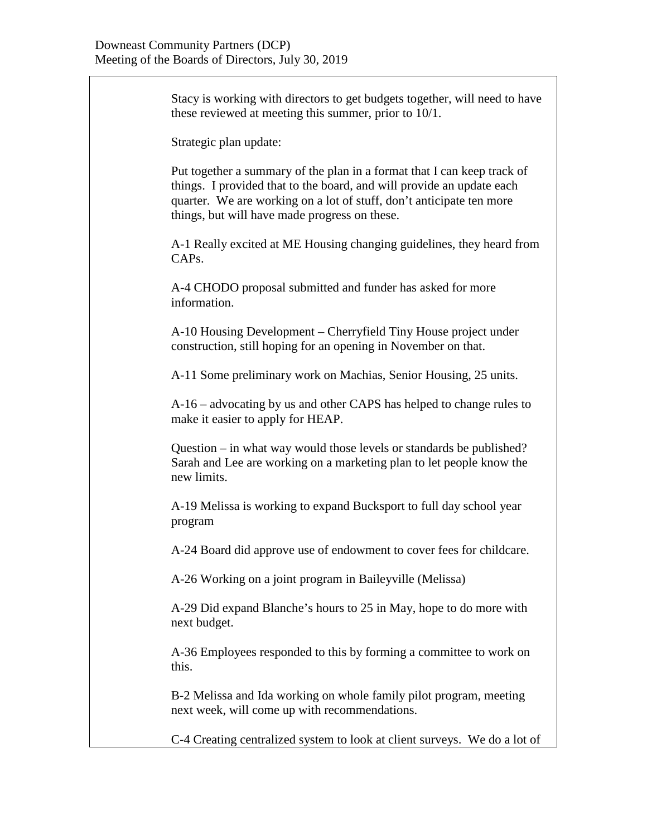Stacy is working with directors to get budgets together, will need to have these reviewed at meeting this summer, prior to 10/1. Strategic plan update: Put together a summary of the plan in a format that I can keep track of things. I provided that to the board, and will provide an update each quarter. We are working on a lot of stuff, don't anticipate ten more things, but will have made progress on these. A-1 Really excited at ME Housing changing guidelines, they heard from CAPs. A-4 CHODO proposal submitted and funder has asked for more information. A-10 Housing Development – Cherryfield Tiny House project under construction, still hoping for an opening in November on that. A-11 Some preliminary work on Machias, Senior Housing, 25 units. A-16 – advocating by us and other CAPS has helped to change rules to make it easier to apply for HEAP. Question – in what way would those levels or standards be published? Sarah and Lee are working on a marketing plan to let people know the new limits. A-19 Melissa is working to expand Bucksport to full day school year program A-24 Board did approve use of endowment to cover fees for childcare. A-26 Working on a joint program in Baileyville (Melissa) A-29 Did expand Blanche's hours to 25 in May, hope to do more with next budget. A-36 Employees responded to this by forming a committee to work on this. B-2 Melissa and Ida working on whole family pilot program, meeting next week, will come up with recommendations. C-4 Creating centralized system to look at client surveys. We do a lot of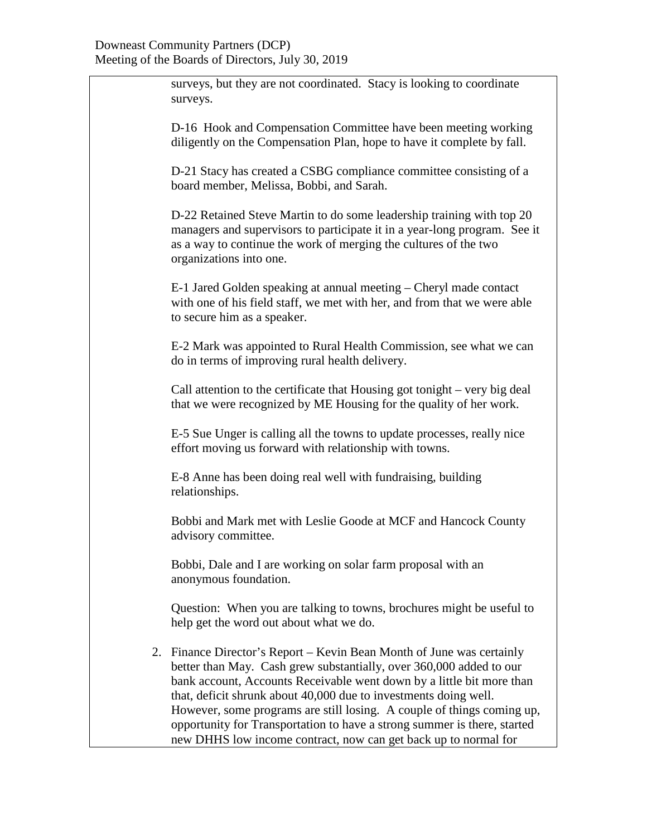| surveys, but they are not coordinated. Stacy is looking to coordinate<br>surveys.                                                                                                                                                                                                                                                                                                                                                                                                                                  |
|--------------------------------------------------------------------------------------------------------------------------------------------------------------------------------------------------------------------------------------------------------------------------------------------------------------------------------------------------------------------------------------------------------------------------------------------------------------------------------------------------------------------|
| D-16 Hook and Compensation Committee have been meeting working<br>diligently on the Compensation Plan, hope to have it complete by fall.                                                                                                                                                                                                                                                                                                                                                                           |
| D-21 Stacy has created a CSBG compliance committee consisting of a<br>board member, Melissa, Bobbi, and Sarah.                                                                                                                                                                                                                                                                                                                                                                                                     |
| D-22 Retained Steve Martin to do some leadership training with top 20<br>managers and supervisors to participate it in a year-long program. See it<br>as a way to continue the work of merging the cultures of the two<br>organizations into one.                                                                                                                                                                                                                                                                  |
| E-1 Jared Golden speaking at annual meeting – Cheryl made contact<br>with one of his field staff, we met with her, and from that we were able<br>to secure him as a speaker.                                                                                                                                                                                                                                                                                                                                       |
| E-2 Mark was appointed to Rural Health Commission, see what we can<br>do in terms of improving rural health delivery.                                                                                                                                                                                                                                                                                                                                                                                              |
| Call attention to the certificate that Housing got tonight – very big deal<br>that we were recognized by ME Housing for the quality of her work.                                                                                                                                                                                                                                                                                                                                                                   |
| E-5 Sue Unger is calling all the towns to update processes, really nice<br>effort moving us forward with relationship with towns.                                                                                                                                                                                                                                                                                                                                                                                  |
| E-8 Anne has been doing real well with fundraising, building<br>relationships.                                                                                                                                                                                                                                                                                                                                                                                                                                     |
| Bobbi and Mark met with Leslie Goode at MCF and Hancock County<br>advisory committee.                                                                                                                                                                                                                                                                                                                                                                                                                              |
| Bobbi, Dale and I are working on solar farm proposal with an<br>anonymous foundation.                                                                                                                                                                                                                                                                                                                                                                                                                              |
| Question: When you are talking to towns, brochures might be useful to<br>help get the word out about what we do.                                                                                                                                                                                                                                                                                                                                                                                                   |
| 2. Finance Director's Report – Kevin Bean Month of June was certainly<br>better than May. Cash grew substantially, over 360,000 added to our<br>bank account, Accounts Receivable went down by a little bit more than<br>that, deficit shrunk about 40,000 due to investments doing well.<br>However, some programs are still losing. A couple of things coming up,<br>opportunity for Transportation to have a strong summer is there, started<br>new DHHS low income contract, now can get back up to normal for |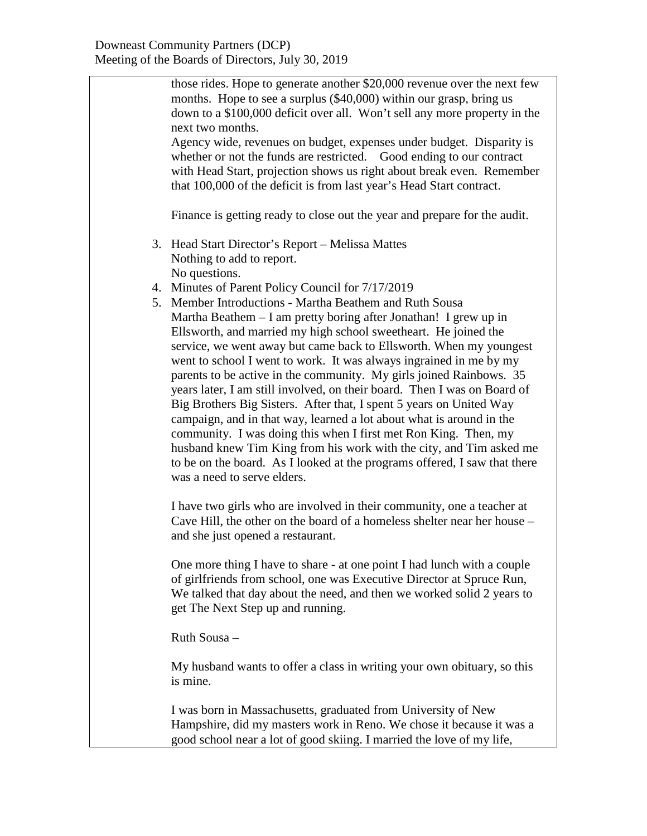those rides. Hope to generate another \$20,000 revenue over the next few months. Hope to see a surplus (\$40,000) within our grasp, bring us down to a \$100,000 deficit over all. Won't sell any more property in the next two months. Agency wide, revenues on budget, expenses under budget. Disparity is whether or not the funds are restricted. Good ending to our contract with Head Start, projection shows us right about break even. Remember that 100,000 of the deficit is from last year's Head Start contract. Finance is getting ready to close out the year and prepare for the audit. 3. Head Start Director's Report – Melissa Mattes Nothing to add to report. No questions. 4. Minutes of Parent Policy Council for 7/17/2019 5. Member Introductions - Martha Beathem and Ruth Sousa Martha Beathem – I am pretty boring after Jonathan! I grew up in Ellsworth, and married my high school sweetheart. He joined the service, we went away but came back to Ellsworth. When my youngest went to school I went to work. It was always ingrained in me by my parents to be active in the community. My girls joined Rainbows. 35 years later, I am still involved, on their board. Then I was on Board of Big Brothers Big Sisters. After that, I spent 5 years on United Way campaign, and in that way, learned a lot about what is around in the community. I was doing this when I first met Ron King. Then, my husband knew Tim King from his work with the city, and Tim asked me to be on the board. As I looked at the programs offered, I saw that there was a need to serve elders. I have two girls who are involved in their community, one a teacher at Cave Hill, the other on the board of a homeless shelter near her house – and she just opened a restaurant. One more thing I have to share - at one point I had lunch with a couple of girlfriends from school, one was Executive Director at Spruce Run, We talked that day about the need, and then we worked solid 2 years to get The Next Step up and running. Ruth Sousa – My husband wants to offer a class in writing your own obituary, so this is mine. I was born in Massachusetts, graduated from University of New Hampshire, did my masters work in Reno. We chose it because it was a good school near a lot of good skiing. I married the love of my life,